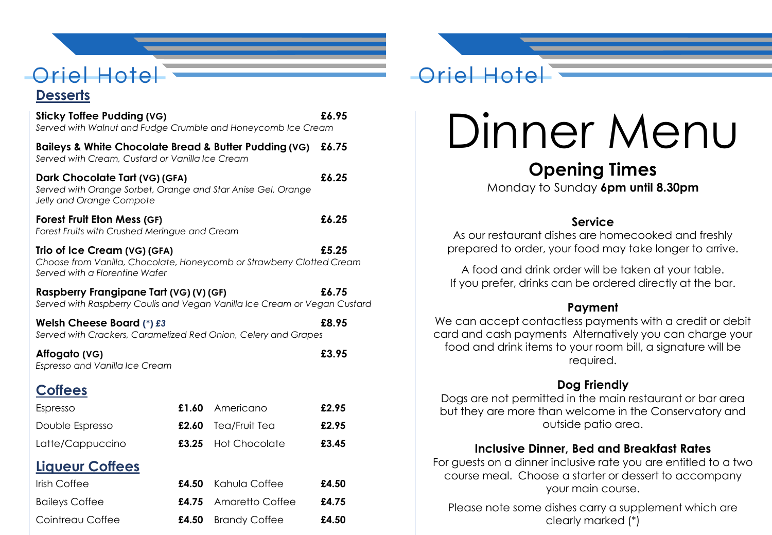# **Oriel Hotel**

#### **Desserts**

| <b>Sticky Toffee Pudding (VG)</b><br>Served with Walnut and Fudge Crumble and Honeycomb Ice Cream                                                | £6.95 |                      |       |  |
|--------------------------------------------------------------------------------------------------------------------------------------------------|-------|----------------------|-------|--|
| Baileys & White Chocolate Bread & Butter Pudding (VG)<br>Served with Cream, Custard or Vanilla Ice Cream                                         | £6.75 |                      |       |  |
| Dark Chocolate Tart (VG) (GFA)<br>Served with Orange Sorbet, Orange and Star Anise Gel, Orange<br>Jelly and Orange Compote                       | £6.25 |                      |       |  |
| <b>Forest Fruit Eton Mess (GF)</b><br>Forest Fruits with Crushed Meringue and Cream                                                              | £6.25 |                      |       |  |
| £5.25<br>Trio of Ice Cream (VG) (GFA)<br>Choose from Vanilla, Chocolate, Honeycomb or Strawberry Clotted Cream<br>Served with a Florentine Wafer |       |                      |       |  |
| Raspberry Frangipane Tart (VG) (V) (GF)<br>Served with Raspberry Coulis and Vegan Vanilla Ice Cream or Vegan Custard                             | £6.75 |                      |       |  |
| Welsh Cheese Board $(*)$ £3<br>Served with Crackers, Caramelized Red Onion, Celery and Grapes                                                    | £8.95 |                      |       |  |
| Affogato (VG)<br>Espresso and Vanilla Ice Cream                                                                                                  |       |                      | £3.95 |  |
| <b>Coffees</b>                                                                                                                                   |       |                      |       |  |
| Espresso                                                                                                                                         |       | £1.60 Americano      | £2.95 |  |
| Double Espresso                                                                                                                                  | £2.60 | Tea/Fruit Tea        | £2.95 |  |
| Latte/Cappuccino                                                                                                                                 | £3.25 | <b>Hot Chocolate</b> | £3.45 |  |
| <b>Liqueur Coffees</b>                                                                                                                           |       |                      |       |  |
| Irish Coffee                                                                                                                                     | £4.50 | Kahula Coffee        | £4.50 |  |
| <b>Baileys Coffee</b>                                                                                                                            | £4.75 | Amaretto Coffee      | £4.75 |  |
| Cointreau Coffee                                                                                                                                 | £4.50 | <b>Brandy Coffee</b> | £4.50 |  |

## Oriel Hotel

# Dinner Menu

### **Opening Times**

Monday to Sunday **6pm until 8.30pm**

#### **Service**

As our restaurant dishes are homecooked and freshly prepared to order, your food may take longer to arrive.

A food and drink order will be taken at your table. If you prefer, drinks can be ordered directly at the bar.

#### **Payment**

We can accept contactless payments with a credit or debit card and cash payments Alternatively you can charge your food and drink items to your room bill, a signature will be required.

#### **Dog Friendly**

Dogs are not permitted in the main restaurant or bar area but they are more than welcome in the Conservatory and outside patio area.

#### **Inclusive Dinner, Bed and Breakfast Rates**

For guests on a dinner inclusive rate you are entitled to a two course meal. Choose a starter or dessert to accompany your main course.

Please note some dishes carry a supplement which are clearly marked (\*)